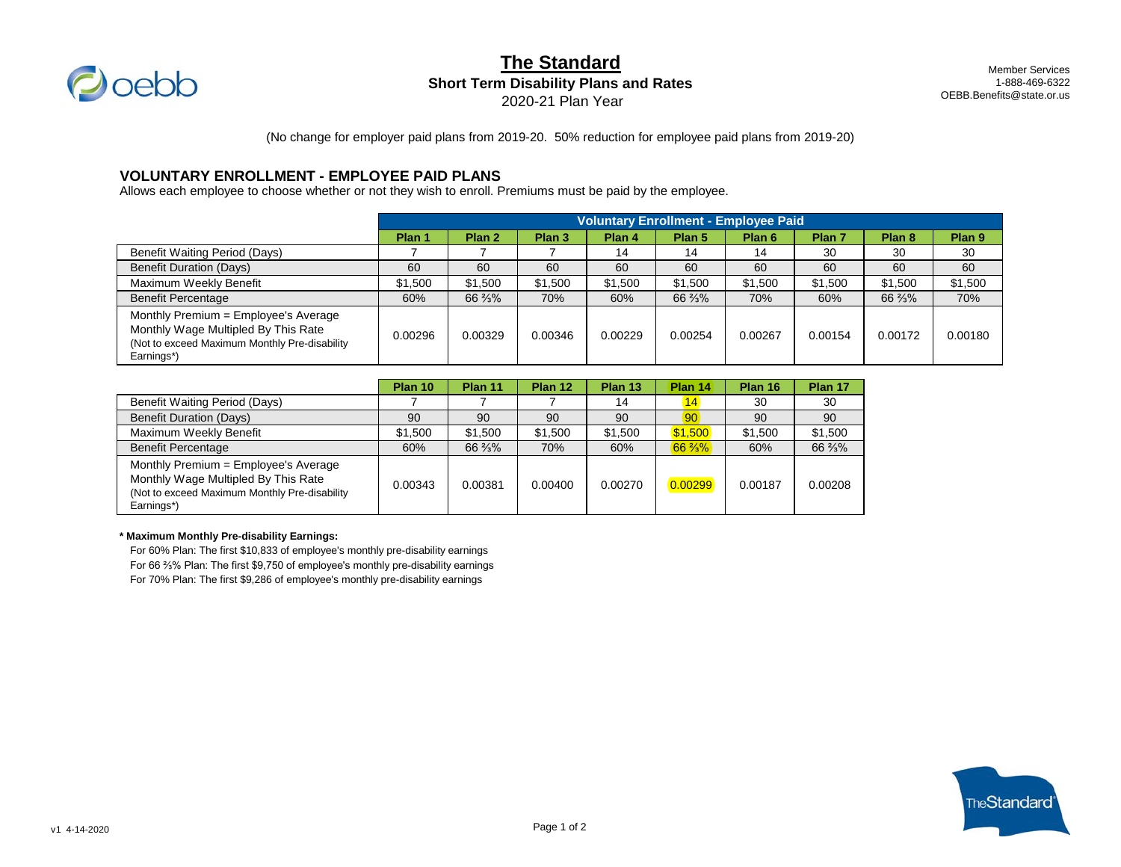

# **The Standard**

**Short Term Disability Plans and Rates**

2020-21 Plan Year

Member Services 1-888-469-6322 OEBB.Benefits@state.or.us

(No change for employer paid plans from 2019-20. 50% reduction for employee paid plans from 2019-20)

### **VOLUNTARY ENROLLMENT - EMPLOYEE PAID PLANS**

Allows each employee to choose whether or not they wish to enroll. Premiums must be paid by the employee.

|                                                                                                                                             | <b>Voluntary Enrollment - Employee Paid</b> |         |                   |         |                   |                   |                   |                   |                   |
|---------------------------------------------------------------------------------------------------------------------------------------------|---------------------------------------------|---------|-------------------|---------|-------------------|-------------------|-------------------|-------------------|-------------------|
|                                                                                                                                             | Plan 1                                      | Plan 2  | Plan <sub>3</sub> | Plan 4  | Plan <sub>5</sub> | Plan <sub>6</sub> | Plan <sub>7</sub> | Plan <sub>8</sub> | Plan <sub>9</sub> |
| <b>Benefit Waiting Period (Days)</b>                                                                                                        |                                             |         |                   | 14      | 14                | 14                | 30                | 30                | 30                |
| <b>Benefit Duration (Days)</b>                                                                                                              | 60                                          | 60      | 60                | 60      | 60                | 60                | 60                | 60                | 60                |
| Maximum Weekly Benefit                                                                                                                      | \$1,500                                     | \$1,500 | \$1,500           | \$1,500 | \$1,500           | \$1,500           | \$1,500           | \$1,500           | \$1,500           |
| <b>Benefit Percentage</b>                                                                                                                   | 60%                                         | 66 %%   | 70%               | 60%     | 66 %%             | 70%               | 60%               | 66 %%             | 70%               |
| Monthly Premium = Employee's Average<br>Monthly Wage Multipled By This Rate<br>(Not to exceed Maximum Monthly Pre-disability)<br>Earnings*) | 0.00296                                     | 0.00329 | 0.00346           | 0.00229 | 0.00254           | 0.00267           | 0.00154           | 0.00172           | 0.00180           |

|                                                                                                                                             | Plan 10 | Plan 11 | Plan 12 | Plan 13 | Plan 14           | Plan 16 | Plan 17 |
|---------------------------------------------------------------------------------------------------------------------------------------------|---------|---------|---------|---------|-------------------|---------|---------|
| Benefit Waiting Period (Days)                                                                                                               |         |         |         | 14      | 14.               | 30      | 30      |
| <b>Benefit Duration (Days)</b>                                                                                                              | 90      | 90      | 90      | 90      | 90 <sup>1</sup>   | 90      | 90      |
| Maximum Weekly Benefit                                                                                                                      | \$1.500 | \$1.500 | \$1.500 | \$1.500 | \$1.500           | \$1.500 | \$1,500 |
| <b>Benefit Percentage</b>                                                                                                                   | 60%     | 66 %%   | 70%     | 60%     | $66\frac{2}{3}\%$ | 60%     | 66 %%   |
| Monthly Premium = Employee's Average<br>Monthly Wage Multipled By This Rate<br>(Not to exceed Maximum Monthly Pre-disability)<br>Earnings*) | 0.00343 | 0.00381 | 0.00400 | 0.00270 | 0.00299           | 0.00187 | 0.00208 |

#### **\* Maximum Monthly Pre-disability Earnings:**

For 60% Plan: The first \$10,833 of employee's monthly pre-disability earnings For 66 ⅔% Plan: The first \$9,750 of employee's monthly pre-disability earnings For 70% Plan: The first \$9,286 of employee's monthly pre-disability earnings